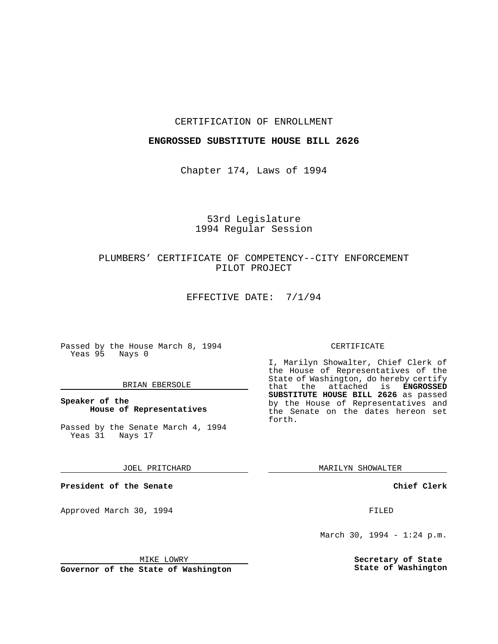### CERTIFICATION OF ENROLLMENT

### **ENGROSSED SUBSTITUTE HOUSE BILL 2626**

Chapter 174, Laws of 1994

# 53rd Legislature 1994 Regular Session

# PLUMBERS' CERTIFICATE OF COMPETENCY--CITY ENFORCEMENT PILOT PROJECT

EFFECTIVE DATE: 7/1/94

Passed by the House March 8, 1994 Yeas 95 Nays 0

### BRIAN EBERSOLE

### **Speaker of the House of Representatives**

Passed by the Senate March 4, 1994 Yeas 31 Nays 17

JOEL PRITCHARD

**President of the Senate**

Approved March 30, 1994 **FILED** 

### CERTIFICATE

I, Marilyn Showalter, Chief Clerk of the House of Representatives of the State of Washington, do hereby certify that the attached is **ENGROSSED SUBSTITUTE HOUSE BILL 2626** as passed by the House of Representatives and the Senate on the dates hereon set forth.

MARILYN SHOWALTER

**Chief Clerk**

March 30, 1994 - 1:24 p.m.

**Secretary of State State of Washington**

MIKE LOWRY

**Governor of the State of Washington**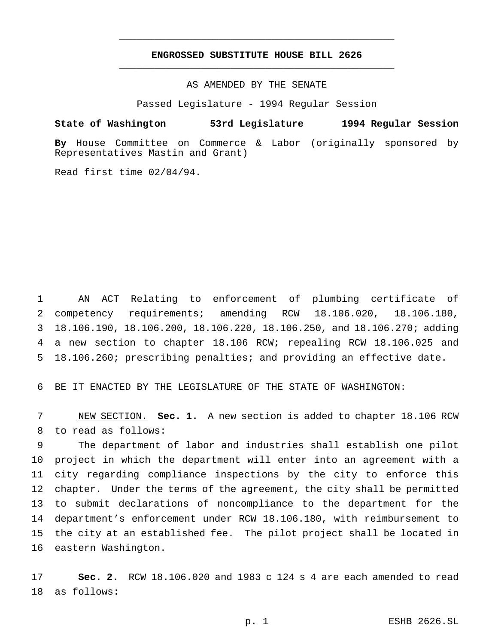## **ENGROSSED SUBSTITUTE HOUSE BILL 2626** \_\_\_\_\_\_\_\_\_\_\_\_\_\_\_\_\_\_\_\_\_\_\_\_\_\_\_\_\_\_\_\_\_\_\_\_\_\_\_\_\_\_\_\_\_\_\_

\_\_\_\_\_\_\_\_\_\_\_\_\_\_\_\_\_\_\_\_\_\_\_\_\_\_\_\_\_\_\_\_\_\_\_\_\_\_\_\_\_\_\_\_\_\_\_

AS AMENDED BY THE SENATE

Passed Legislature - 1994 Regular Session

#### **State of Washington 53rd Legislature 1994 Regular Session**

**By** House Committee on Commerce & Labor (originally sponsored by Representatives Mastin and Grant)

Read first time 02/04/94.

 AN ACT Relating to enforcement of plumbing certificate of competency requirements; amending RCW 18.106.020, 18.106.180, 18.106.190, 18.106.200, 18.106.220, 18.106.250, and 18.106.270; adding a new section to chapter 18.106 RCW; repealing RCW 18.106.025 and 18.106.260; prescribing penalties; and providing an effective date.

BE IT ENACTED BY THE LEGISLATURE OF THE STATE OF WASHINGTON:

 NEW SECTION. **Sec. 1.** A new section is added to chapter 18.106 RCW to read as follows:

 The department of labor and industries shall establish one pilot project in which the department will enter into an agreement with a city regarding compliance inspections by the city to enforce this chapter. Under the terms of the agreement, the city shall be permitted to submit declarations of noncompliance to the department for the department's enforcement under RCW 18.106.180, with reimbursement to the city at an established fee. The pilot project shall be located in eastern Washington.

 **Sec. 2.** RCW 18.106.020 and 1983 c 124 s 4 are each amended to read as follows: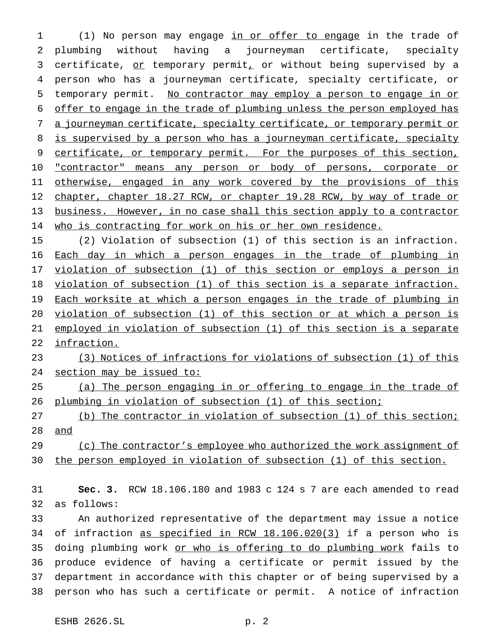1 (1) No person may engage in or offer to engage in the trade of plumbing without having a journeyman certificate, specialty 3 certificate, or temporary permit, or without being supervised by a person who has a journeyman certificate, specialty certificate, or temporary permit. No contractor may employ a person to engage in or offer to engage in the trade of plumbing unless the person employed has a journeyman certificate, specialty certificate, or temporary permit or 8 is supervised by a person who has a journeyman certificate, specialty 9 certificate, or temporary permit. For the purposes of this section, 10 "contractor" means any person or body of persons, corporate or 11 otherwise, engaged in any work covered by the provisions of this 12 chapter, chapter 18.27 RCW, or chapter 19.28 RCW, by way of trade or business. However, in no case shall this section apply to a contractor who is contracting for work on his or her own residence.

 (2) Violation of subsection (1) of this section is an infraction. Each day in which a person engages in the trade of plumbing in 17 violation of subsection (1) of this section or employs a person in violation of subsection (1) of this section is a separate infraction. 19 Each worksite at which a person engages in the trade of plumbing in violation of subsection (1) of this section or at which a person is employed in violation of subsection (1) of this section is a separate infraction.

 (3) Notices of infractions for violations of subsection (1) of this 24 section may be issued to:

 (a) The person engaging in or offering to engage in the trade of plumbing in violation of subsection (1) of this section;

 (b) The contractor in violation of subsection (1) of this section; and

 (c) The contractor's employee who authorized the work assignment of the person employed in violation of subsection (1) of this section.

 **Sec. 3.** RCW 18.106.180 and 1983 c 124 s 7 are each amended to read as follows:

 An authorized representative of the department may issue a notice of infraction as specified in RCW 18.106.020(3) if a person who is 35 doing plumbing work or who is offering to do plumbing work fails to produce evidence of having a certificate or permit issued by the department in accordance with this chapter or of being supervised by a person who has such a certificate or permit. A notice of infraction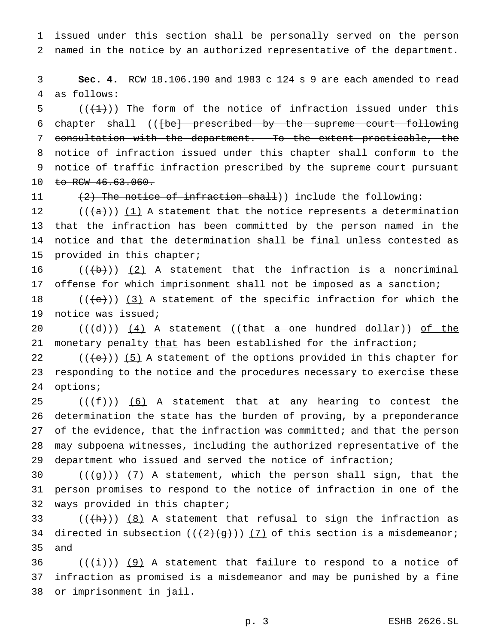issued under this section shall be personally served on the person named in the notice by an authorized representative of the department.

 **Sec. 4.** RCW 18.106.190 and 1983 c 124 s 9 are each amended to read as follows:

 $((+1))$  The form of the notice of infraction issued under this 6 chapter shall ((<del>[be] prescribed by the supreme court following</del> consultation with the department. To the extent practicable, the notice of infraction issued under this chapter shall conform to the 9 notice of traffic infraction prescribed by the supreme court pursuant 10 to RCW 46.63.060.

11 (2) The notice of infraction shall)) include the following:

 $((+a))$  (1) A statement that the notice represents a determination that the infraction has been committed by the person named in the notice and that the determination shall be final unless contested as provided in this chapter;

 $((\{b\})$   $(2)$  A statement that the infraction is a noncriminal offense for which imprisonment shall not be imposed as a sanction;

18  $((+e))$   $(3)$  A statement of the specific infraction for which the notice was issued;

 $((d+))$   $(4)$  A statement ((that a one hundred dollar)) of the 21 monetary penalty that has been established for the infraction;

22  $((+e))$  (5) A statement of the options provided in this chapter for responding to the notice and the procedures necessary to exercise these options;

 $((\text{f}+\text{f}))$  (6) A statement that at any hearing to contest the determination the state has the burden of proving, by a preponderance of the evidence, that the infraction was committed; and that the person may subpoena witnesses, including the authorized representative of the department who issued and served the notice of infraction;

30  $((+g+))$   $(7)$  A statement, which the person shall sign, that the person promises to respond to the notice of infraction in one of the ways provided in this chapter;

33  $((+h))$   $(8)$  A statement that refusal to sign the infraction as 34 directed in subsection  $((2)(g))$   $(7)$  of this section is a misdemeanor; and

36 ( $(\frac{1}{i})$ ) (9) A statement that failure to respond to a notice of infraction as promised is a misdemeanor and may be punished by a fine or imprisonment in jail.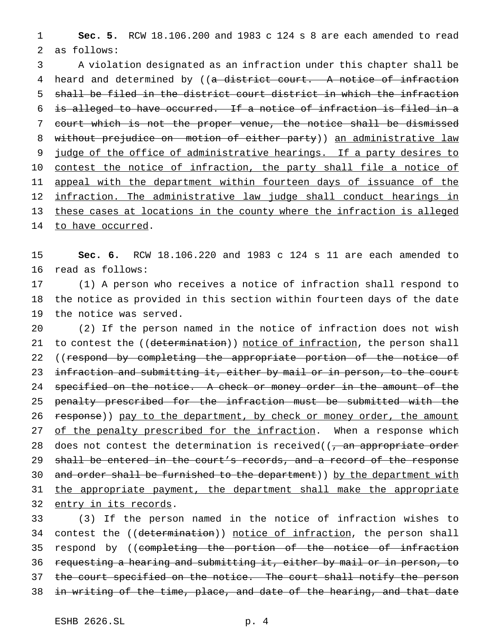1 **Sec. 5.** RCW 18.106.200 and 1983 c 124 s 8 are each amended to read 2 as follows:

3 A violation designated as an infraction under this chapter shall be 4 heard and determined by ((a district court. A notice of infraction 5 shall be filed in the district court district in which the infraction 6 is alleged to have occurred. If a notice of infraction is filed in a 7 court which is not the proper venue, the notice shall be dismissed 8 without prejudice on motion of either party)) an administrative law 9 judge of the office of administrative hearings. If a party desires to 10 contest the notice of infraction, the party shall file a notice of 11 appeal with the department within fourteen days of issuance of the 12 infraction. The administrative law judge shall conduct hearings in 13 these cases at locations in the county where the infraction is alleged 14 to have occurred.

15 **Sec. 6.** RCW 18.106.220 and 1983 c 124 s 11 are each amended to 16 read as follows:

17 (1) A person who receives a notice of infraction shall respond to 18 the notice as provided in this section within fourteen days of the date 19 the notice was served.

20 (2) If the person named in the notice of infraction does not wish 21 to contest the ((determination)) notice of infraction, the person shall 22 ((respond by completing the appropriate portion of the notice of 23 infraction and submitting it, either by mail or in person, to the court 24 specified on the notice. A check or money order in the amount of the 25 penalty prescribed for the infraction must be submitted with the 26 response)) pay to the department, by check or money order, the amount 27 of the penalty prescribed for the infraction. When a response which 28 does not contest the determination is received( $\left( \frac{1}{2} \right)$  an appropriate order 29 shall be entered in the court's records, and a record of the response 30 and order shall be furnished to the department)) by the department with 31 the appropriate payment, the department shall make the appropriate 32 entry in its records.

33 (3) If the person named in the notice of infraction wishes to 34 contest the ((determination)) notice of infraction, the person shall 35 respond by ((completing the portion of the notice of infraction 36 requesting a hearing and submitting it, either by mail or in person, to 37 the court specified on the notice. The court shall notify the person 38 in writing of the time, place, and date of the hearing, and that date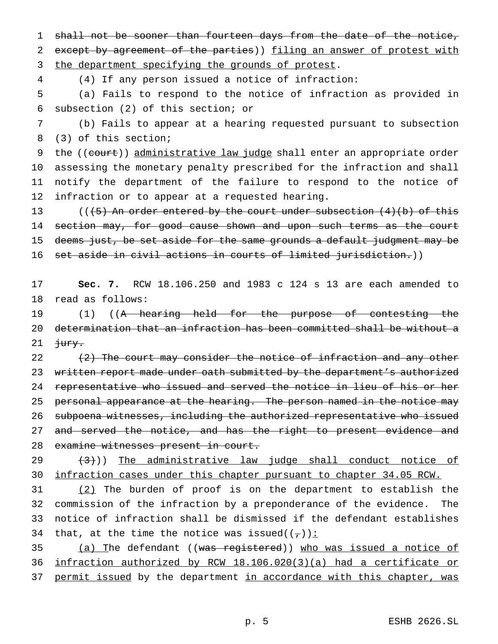1 shall not be sooner than fourteen days from the date of the notice, 2 except by agreement of the parties)) filing an answer of protest with

3 the department specifying the grounds of protest.

4 (4) If any person issued a notice of infraction:

5 (a) Fails to respond to the notice of infraction as provided in 6 subsection (2) of this section; or

7 (b) Fails to appear at a hearing requested pursuant to subsection 8 (3) of this section;

9 the ((court)) administrative law judge shall enter an appropriate order assessing the monetary penalty prescribed for the infraction and shall notify the department of the failure to respond to the notice of infraction or to appear at a requested hearing.

13 (( $(5)$  An order entered by the court under subsection  $(4)(b)$  of this 14 section may, for good cause shown and upon such terms as the court 15 deems just, be set aside for the same grounds a default judgment may be 16 set aside in civil actions in courts of limited jurisdiction.))

17 **Sec. 7.** RCW 18.106.250 and 1983 c 124 s 13 are each amended to 18 read as follows:

19 (1) ((A hearing held for the purpose of contesting the 20 determination that an infraction has been committed shall be without a 21  $\frac{1}{3}$ 

22  $(2)$  The court may consider the notice of infraction and any other 23 written report made under oath submitted by the department's authorized 24 representative who issued and served the notice in lieu of his or her 25 personal appearance at the hearing. The person named in the notice may 26 subpoena witnesses, including the authorized representative who issued 27 and served the notice, and has the right to present evidence and 28 examine witnesses present in court.

 $(3)$   $(3)$ ) The administrative law judge shall conduct notice of 30 infraction cases under this chapter pursuant to chapter 34.05 RCW.

 (2) The burden of proof is on the department to establish the commission of the infraction by a preponderance of the evidence. The notice of infraction shall be dismissed if the defendant establishes 34 that, at the time the notice was issued( $(\tau)$ ):

35 (a) The defendant ((was registered)) who was issued a notice of 36 infraction authorized by RCW 18.106.020(3)(a) had a certificate or 37 permit issued by the department in accordance with this chapter, was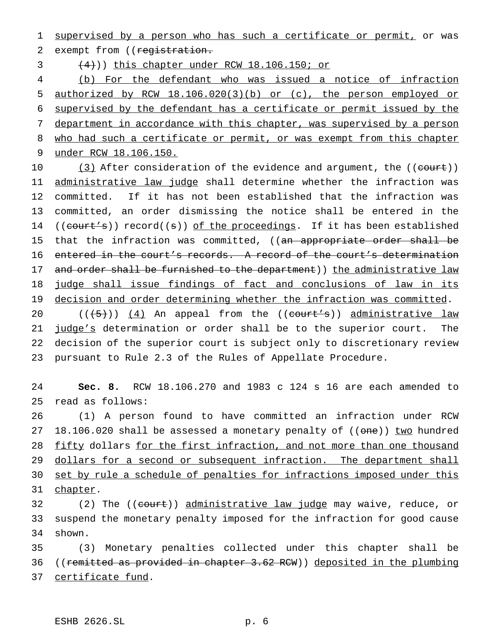1 supervised by a person who has such a certificate or permit, or was 2 exempt from ((registration.

 $(4)$ )) this chapter under RCW 18.106.150; or

 (b) For the defendant who was issued a notice of infraction authorized by RCW 18.106.020(3)(b) or (c), the person employed or supervised by the defendant has a certificate or permit issued by the department in accordance with this chapter, was supervised by a person 8 who had such a certificate or permit, or was exempt from this chapter under RCW 18.106.150.

10 (3) After consideration of the evidence and argument, the ((court)) 11 administrative law judge shall determine whether the infraction was 12 committed. If it has not been established that the infraction was 13 committed, an order dismissing the notice shall be entered in the 14 ((court's)) record((s)) of the proceedings. If it has been established 15 that the infraction was committed, ((an appropriate order shall be 16 entered in the court's records. A record of the court's determination 17 and order shall be furnished to the department)) the administrative law 18 judge shall issue findings of fact and conclusions of law in its 19 decision and order determining whether the infraction was committed.

 $((\frac{1}{5})^2)(\frac{4}{12})$  An appeal from the  $((\text{court's})^2)$  administrative law 21 judge's determination or order shall be to the superior court. The decision of the superior court is subject only to discretionary review pursuant to Rule 2.3 of the Rules of Appellate Procedure.

24 **Sec. 8.** RCW 18.106.270 and 1983 c 124 s 16 are each amended to 25 read as follows:

26 (1) A person found to have committed an infraction under RCW 27 18.106.020 shall be assessed a monetary penalty of ((one)) two hundred 28 fifty dollars for the first infraction, and not more than one thousand 29 dollars for a second or subsequent infraction. The department shall 30 set by rule a schedule of penalties for infractions imposed under this 31 chapter.

32 (2) The ((court)) administrative law judge may waive, reduce, or 33 suspend the monetary penalty imposed for the infraction for good cause 34 shown.

35 (3) Monetary penalties collected under this chapter shall be 36 ((remitted as provided in chapter 3.62 RCW)) deposited in the plumbing 37 certificate fund.